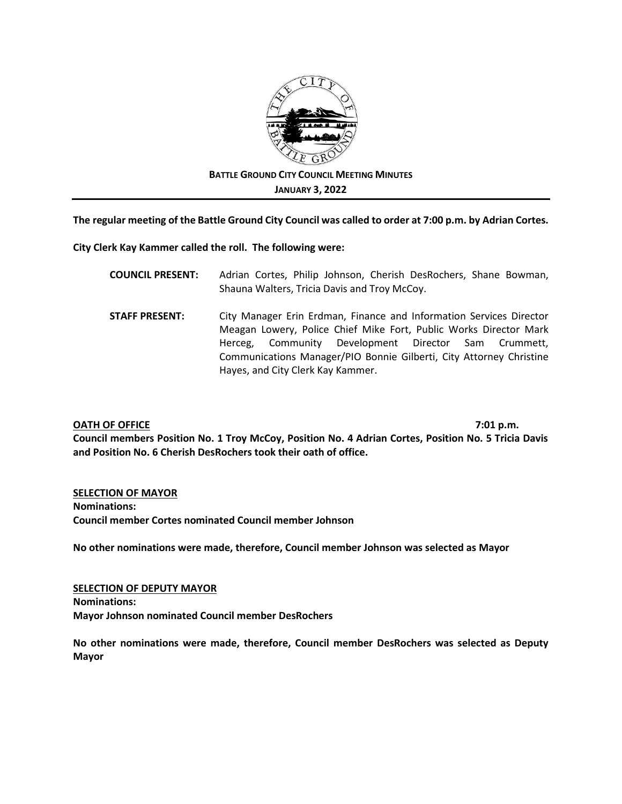

# **BATTLE GROUND CITY COUNCIL MEETING MINUTES JANUARY 3, 2022**

## **The regular meeting of the Battle Ground City Council was called to order at 7:00 p.m. by Adrian Cortes.**

**City Clerk Kay Kammer called the roll. The following were:**

| <b>COUNCIL PRESENT:</b> | Adrian Cortes, Philip Johnson, Cherish DesRochers, Shane Bowman,<br>Shauna Walters, Tricia Davis and Troy McCoy.                         |
|-------------------------|------------------------------------------------------------------------------------------------------------------------------------------|
| <b>STAFF PRESENT:</b>   | City Manager Erin Erdman, Finance and Information Services Director<br>Meagan Lowery, Police Chief Mike Fort, Public Works Director Mark |
|                         | Herceg, Community Development Director Sam Crummett,                                                                                     |
|                         | Communications Manager/PIO Bonnie Gilberti, City Attorney Christine                                                                      |
|                         | Hayes, and City Clerk Kay Kammer.                                                                                                        |

## **OATH OF OFFICE 7:01 p.m.**

**Council members Position No. 1 Troy McCoy, Position No. 4 Adrian Cortes, Position No. 5 Tricia Davis and Position No. 6 Cherish DesRochers took their oath of office.**

#### **SELECTION OF MAYOR**

**Nominations: Council member Cortes nominated Council member Johnson**

**No other nominations were made, therefore, Council member Johnson was selected as Mayor**

## **SELECTION OF DEPUTY MAYOR Nominations: Mayor Johnson nominated Council member DesRochers**

**No other nominations were made, therefore, Council member DesRochers was selected as Deputy Mayor**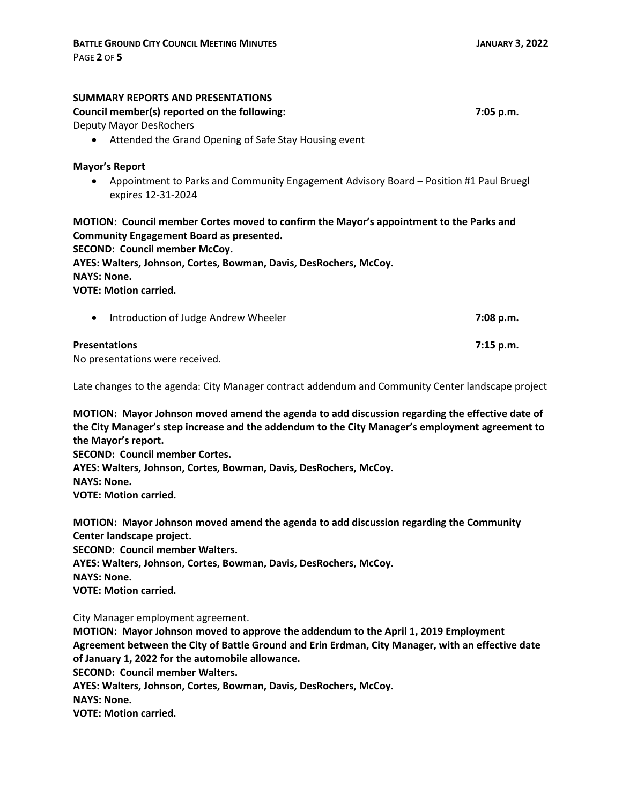| SUMMARY REPORTS AND PRESENTATIONS<br>Council member(s) reported on the following:<br>Deputy Mayor DesRochers                                                                                                                                                                                                  | $7:05$ p.m. |
|---------------------------------------------------------------------------------------------------------------------------------------------------------------------------------------------------------------------------------------------------------------------------------------------------------------|-------------|
| Attended the Grand Opening of Safe Stay Housing event<br>$\bullet$                                                                                                                                                                                                                                            |             |
| <b>Mayor's Report</b><br>Appointment to Parks and Community Engagement Advisory Board - Position #1 Paul Bruegl<br>$\bullet$<br>expires 12-31-2024                                                                                                                                                            |             |
| MOTION: Council member Cortes moved to confirm the Mayor's appointment to the Parks and<br><b>Community Engagement Board as presented.</b><br><b>SECOND: Council member McCoy.</b><br>AYES: Walters, Johnson, Cortes, Bowman, Davis, DesRochers, McCoy.<br><b>NAYS: None.</b><br><b>VOTE: Motion carried.</b> |             |
| Introduction of Judge Andrew Wheeler<br>$\bullet$                                                                                                                                                                                                                                                             | 7:08 p.m.   |
| <b>Presentations</b>                                                                                                                                                                                                                                                                                          | $7:15$ p.m. |

No presentations were received.

Late changes to the agenda: City Manager contract addendum and Community Center landscape project

**MOTION: Mayor Johnson moved amend the agenda to add discussion regarding the effective date of the City Manager's step increase and the addendum to the City Manager's employment agreement to the Mayor's report. SECOND: Council member Cortes. AYES: Walters, Johnson, Cortes, Bowman, Davis, DesRochers, McCoy. NAYS: None. VOTE: Motion carried.**

**MOTION: Mayor Johnson moved amend the agenda to add discussion regarding the Community Center landscape project. SECOND: Council member Walters. AYES: Walters, Johnson, Cortes, Bowman, Davis, DesRochers, McCoy. NAYS: None. VOTE: Motion carried.**

City Manager employment agreement.

**MOTION: Mayor Johnson moved to approve the addendum to the April 1, 2019 Employment Agreement between the City of Battle Ground and Erin Erdman, City Manager, with an effective date of January 1, 2022 for the automobile allowance. SECOND: Council member Walters. AYES: Walters, Johnson, Cortes, Bowman, Davis, DesRochers, McCoy. NAYS: None. VOTE: Motion carried.**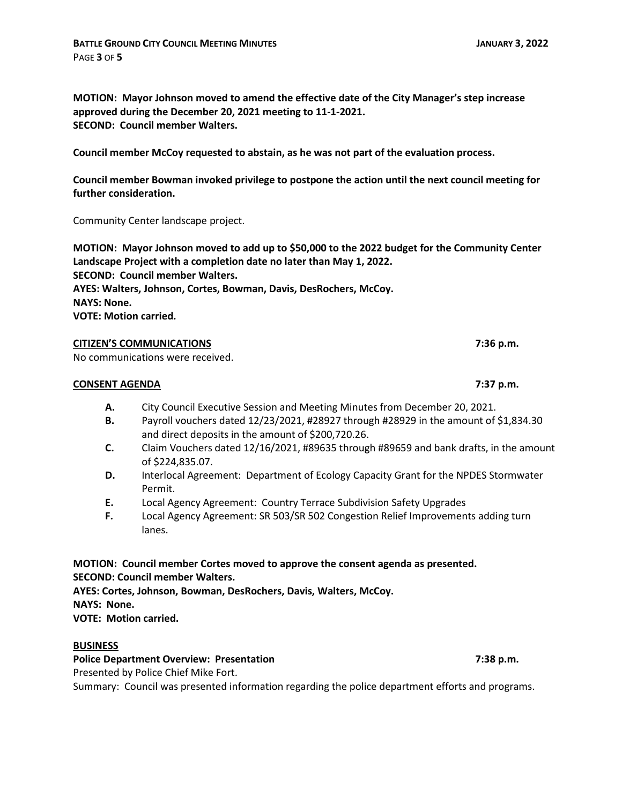**MOTION: Mayor Johnson moved to amend the effective date of the City Manager's step increase approved during the December 20, 2021 meeting to 11-1-2021. SECOND: Council member Walters.**

**Council member McCoy requested to abstain, as he was not part of the evaluation process.**

**Council member Bowman invoked privilege to postpone the action until the next council meeting for further consideration.**

Community Center landscape project.

**MOTION: Mayor Johnson moved to add up to \$50,000 to the 2022 budget for the Community Center Landscape Project with a completion date no later than May 1, 2022. SECOND: Council member Walters. AYES: Walters, Johnson, Cortes, Bowman, Davis, DesRochers, McCoy. NAYS: None. VOTE: Motion carried.**

## **CITIZEN'S COMMUNICATIONS 7:36 p.m.**

No communications were received.

## **CONSENT AGENDA 7:37 p.m.**

PAGE **3** OF **5**

- **A.** City Council Executive Session and Meeting Minutes from December 20, 2021.
- **B.** Payroll vouchers dated 12/23/2021, #28927 through #28929 in the amount of \$1,834.30 and direct deposits in the amount of \$200,720.26.
- **C.** Claim Vouchers dated 12/16/2021, #89635 through #89659 and bank drafts, in the amount of \$224,835.07.
- **D.** Interlocal Agreement: Department of Ecology Capacity Grant for the NPDES Stormwater Permit.
- **E.** Local Agency Agreement: Country Terrace Subdivision Safety Upgrades
- **F.** Local Agency Agreement: SR 503/SR 502 Congestion Relief Improvements adding turn lanes.

**MOTION: Council member Cortes moved to approve the consent agenda as presented. SECOND: Council member Walters. AYES: Cortes, Johnson, Bowman, DesRochers, Davis, Walters, McCoy. NAYS: None. VOTE: Motion carried.**

#### **BUSINESS**

#### **Police Department Overview: Presentation 7:38 p.m.** Presented by Police Chief Mike Fort.

Summary: Council was presented information regarding the police department efforts and programs.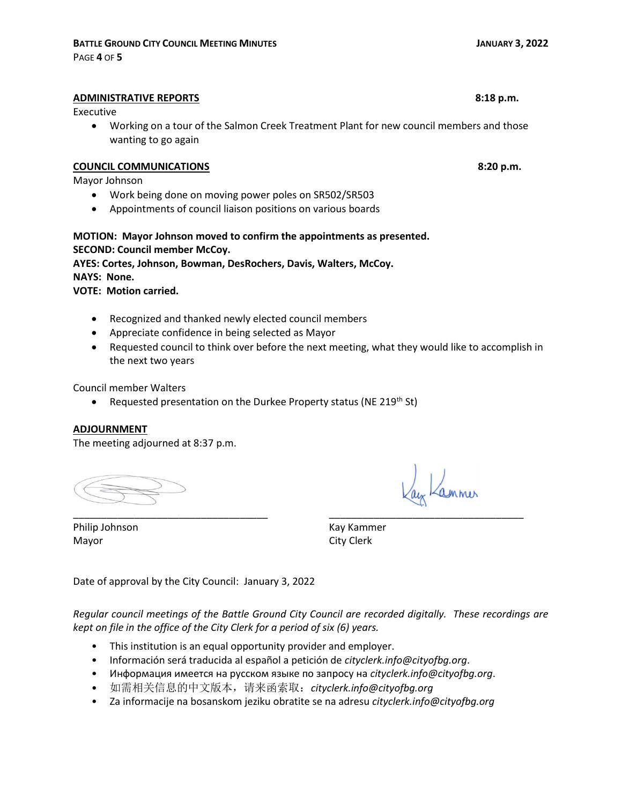#### **BATTLE GROUND CITY COUNCIL MEETING MINUTES JANUARY 3, 2022**

## **ADMINISTRATIVE REPORTS 8:18 p.m.**

Executive

 Working on a tour of the Salmon Creek Treatment Plant for new council members and those wanting to go again

## **COUNCIL COMMUNICATIONS 8:20 p.m.**

Mayor Johnson

- Work being done on moving power poles on SR502/SR503
- Appointments of council liaison positions on various boards

**MOTION: Mayor Johnson moved to confirm the appointments as presented. SECOND: Council member McCoy.**

**AYES: Cortes, Johnson, Bowman, DesRochers, Davis, Walters, McCoy.**

**NAYS: None.**

**VOTE: Motion carried.**

- Recognized and thanked newly elected council members
- Appreciate confidence in being selected as Mayor
- Requested council to think over before the next meeting, what they would like to accomplish in the next two years

Council member Walters

• Requested presentation on the Durkee Property status (NE 219<sup>th</sup> St)

## **ADJOURNMENT**

The meeting adjourned at 8:37 p.m.

ammer \_\_\_\_\_\_\_\_\_\_\_\_\_\_\_\_\_\_\_\_\_\_\_\_\_\_\_\_\_\_\_\_\_\_\_ \_\_\_\_\_\_\_\_\_\_\_\_\_\_\_\_\_\_\_\_\_\_\_\_\_\_\_\_\_\_\_\_\_\_\_

Philip Johnson Kay Kammer Mayor City Clerk

Date of approval by the City Council: January 3, 2022

*Regular council meetings of the Battle Ground City Council are recorded digitally. These recordings are kept on file in the office of the City Clerk for a period of six (6) years.*

- This institution is an equal opportunity provider and employer.
- Información será traducida al español a petición de *[cityclerk.info@cityofbg.org](mailto:cityclerk.info@cityofbg.org)*.
- Информация имеется на русском языке по запросу на *cityclerk.info@cityofbg.org*.
- 如需相关信息的中文版本,请来函索取:*[cityclerk.info@cityofbg.org](mailto:cityclerk.info@cityofbg.org)*
- Za informacije na bosanskom jeziku obratite se na adresu *[cityclerk.info@cityofbg.org](mailto:cityclerk.info@cityofbg.org)*